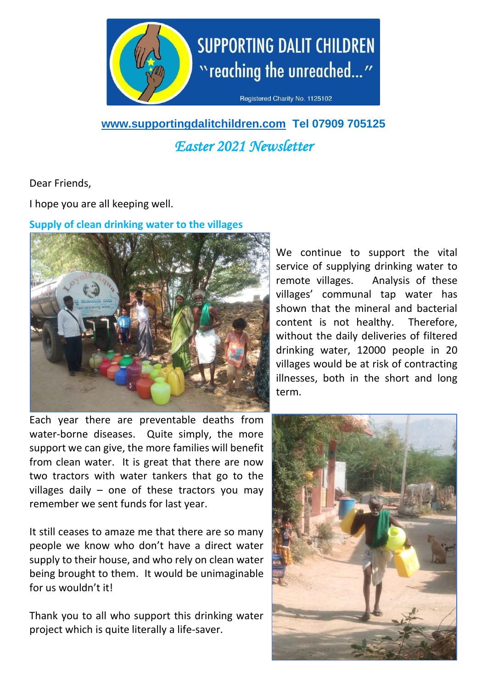

# **SUPPORTING DALIT CHILDREN** "reaching the unreached..."

Registered Charity No. 1125102

## **[www.supportingdalitchildren.com](http://www.supportingdalitchildren.com/) Tel 07909 705125** *Easter 2021 Newsletter*

Dear Friends,

I hope you are all keeping well.

### **Supply of clean drinking water to the villages**



Each year there are preventable deaths from water-borne diseases. Quite simply, the more support we can give, the more families will benefit from clean water. It is great that there are now two tractors with water tankers that go to the villages daily  $-$  one of these tractors you may remember we sent funds for last year.

It still ceases to amaze me that there are so many people we know who don't have a direct water supply to their house, and who rely on clean water being brought to them. It would be unimaginable for us wouldn't it!

Thank you to all who support this drinking water project which is quite literally a life-saver.

We continue to support the vital service of supplying drinking water to remote villages. Analysis of these villages' communal tap water has shown that the mineral and bacterial content is not healthy. Therefore, without the daily deliveries of filtered drinking water, 12000 people in 20 villages would be at risk of contracting illnesses, both in the short and long term.

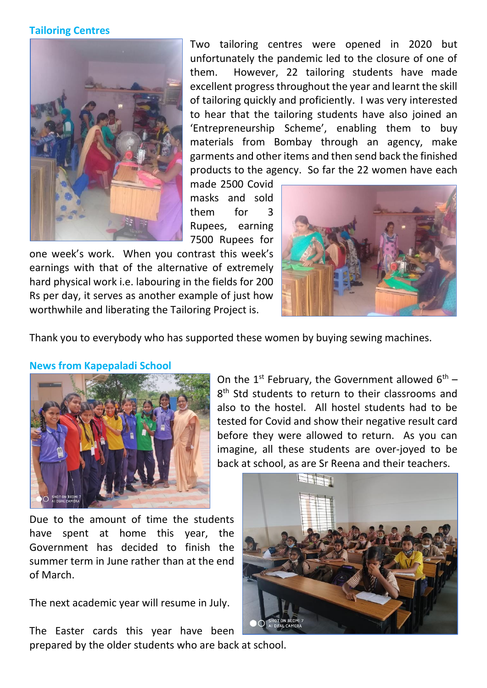#### **Tailoring Centres**



Two tailoring centres were opened in 2020 but unfortunately the pandemic led to the closure of one of them. However, 22 tailoring students have made excellent progress throughout the year and learnt the skill of tailoring quickly and proficiently. I was very interested to hear that the tailoring students have also joined an 'Entrepreneurship Scheme', enabling them to buy materials from Bombay through an agency, make garments and other items and then send back the finished products to the agency. So far the 22 women have each

made 2500 Covid masks and sold them for 3 Rupees, earning 7500 Rupees for

one week's work. When you contrast this week's earnings with that of the alternative of extremely hard physical work i.e. labouring in the fields for 200 Rs per day, it serves as another example of just how worthwhile and liberating the Tailoring Project is.



Thank you to everybody who has supported these women by buying sewing machines.



#### **News from Kapepaladi School**

On the 1<sup>st</sup> February, the Government allowed  $6<sup>th</sup>$  – 8<sup>th</sup> Std students to return to their classrooms and also to the hostel. All hostel students had to be tested for Covid and show their negative result card before they were allowed to return. As you can imagine, all these students are over-joyed to be back at school, as are Sr Reena and their teachers.

Due to the amount of time the students have spent at home this year, the Government has decided to finish the summer term in June rather than at the end of March.

The next academic year will resume in July.

The Easter cards this year have been prepared by the older students who are back at school.

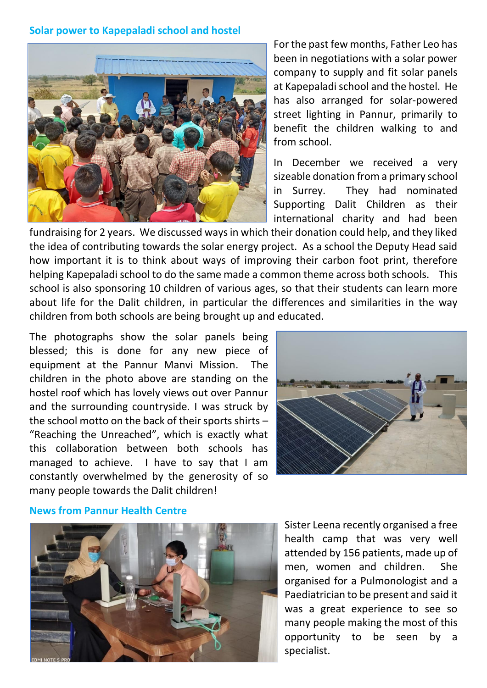#### **Solar power to Kapepaladi school and hostel**



For the past few months, Father Leo has been in negotiations with a solar power company to supply and fit solar panels at Kapepaladi school and the hostel. He has also arranged for solar-powered street lighting in Pannur, primarily to benefit the children walking to and from school.

In December we received a very sizeable donation from a primary school in Surrey. They had nominated Supporting Dalit Children as their international charity and had been

fundraising for 2 years. We discussed ways in which their donation could help, and they liked the idea of contributing towards the solar energy project. As a school the Deputy Head said how important it is to think about ways of improving their carbon foot print, therefore helping Kapepaladi school to do the same made a common theme across both schools. This school is also sponsoring 10 children of various ages, so that their students can learn more about life for the Dalit children, in particular the differences and similarities in the way children from both schools are being brought up and educated.

The photographs show the solar panels being blessed; this is done for any new piece of equipment at the Pannur Manvi Mission. The children in the photo above are standing on the hostel roof which has lovely views out over Pannur and the surrounding countryside. I was struck by the school motto on the back of their sports shirts – "Reaching the Unreached", which is exactly what this collaboration between both schools has managed to achieve. I have to say that I am constantly overwhelmed by the generosity of so many people towards the Dalit children!



#### **News from Pannur Health Centre**



Sister Leena recently organised a free health camp that was very well attended by 156 patients, made up of men, women and children. She organised for a Pulmonologist and a Paediatrician to be present and said it was a great experience to see so many people making the most of this opportunity to be seen by a specialist.